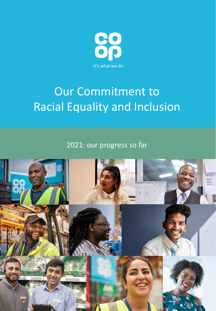

# Our Commitment to Racial Equality and Inclusion

2021: our progress so far

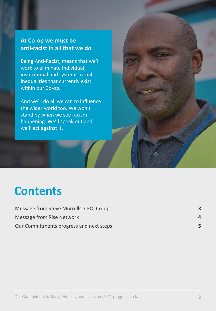### **At Co-op we must be anti-racist in all that we do**

Being Anti-Racist, means that we'll work to eliminate individual, institutional and systemic racial inequalities that currently exist within our Co-op.

And we'll do all we can to influence the wider world too. We won't stand by when we see racism happening. We'll speak out and we'll act against it.

# **Contents**

| Message from Steve Murrells, CEO, Co-op |   |
|-----------------------------------------|---|
| <b>Message from Rise Network</b>        | 4 |
| Our Commitments progress and next steps | 5 |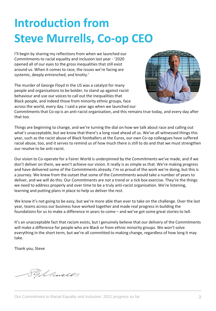# **Introduction from Steve Murrells, Co-op CEO**

I'll begin by sharing my reflections from when we launched our Commitments to racial equality and inclusion last year - '2020 opened all of our eyes to the gross inequalities that still exist around us. When it comes to race, the issues we're facing are systemic, deeply entrenched, and knotty.'

The murder of George Floyd in the US was a catalyst for many people and organisations to be bolder, to stand up against racist behaviour and use our voices to call out the inequalities that Black people, and indeed those from minority ethnic groups, face across the world, every day. I said a year ago when we launched our



Commitments that Co-op is an anti-racist organisation, and this remains true today, and every day after that too.

Things are beginning to change, and we're turning the dial on how we talk about race and calling out what's unacceptable, but we know that there's a long road ahead of us. We've all witnessed things this year, such as the racist abuse of Black footballers at the Euros, our own Co-op colleagues have suffered racial abuse, too, and it serves to remind us of how much there is still to do and that we must strengthen our resolve to be anti-racist.

Our vision to Co-operate for a Fairer World is underpinned by the Commitments we've made, and if we don't deliver on them, we won't achieve our vision. It really is as simple as that. We're making progress and have delivered some of the Commitments already. I'm so proud of the work we're doing, but this is a journey. We knew from the outset that some of the Commitments would take a number of years to deliver, and we will do this. Our Commitments are not a trend or a tick box exercise. They're the things we need to address properly and over time to be a truly anti-racist organisation. We're listening, learning and putting plans in place to help us deliver the rest.

We know it's not going to be easy, but we're more able than ever to take on the challenge. Over the last year, teams across our business have worked together and made real progress in building the foundations for us to make a difference in years to come – and we've got some great stories to tell.

It's an unacceptable fact that racism exists, but I genuinely believe that our delivery of the Commitments will make a difference for people who are Black or from ethnic minority groups. We won't solve everything in the short term, but we're all committed to making change, regardless of how long it may take.

Thank you, Steve

Sylances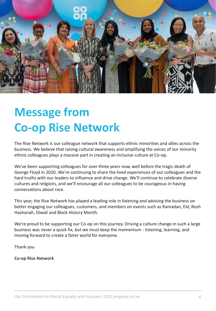

# **Message from Co-op Rise Network**

The Rise Network is our colleague network that supports ethnic minorities and allies across the business. We believe that raising cultural awareness and amplifying the voices of our minority ethnic colleagues plays a massive part in creating an inclusive culture at Co-op.

We've been supporting colleagues for over three years now, well before the tragic death of George Floyd in 2020. We're continuing to share the lived experiences of our colleagues and the hard truths with our leaders to influence and drive change. We'll continue to celebrate diverse cultures and religions, and we'll encourage all our colleagues to be courageous in having conversations about race.

This year, the Rise Network has played a leading role in listening and advising the business on better engaging our colleagues, customers, and members on events such as Ramadan, Eid, Rosh Hashanah, Diwali and Black History Month.

We're proud to be supporting our Co-op on this journey. Driving a culture change in such a large business was never a quick fix, but we must keep the momentum - listening, learning, and moving forward to create a fairer world for everyone.

Thank you

**Co-op Rise Network**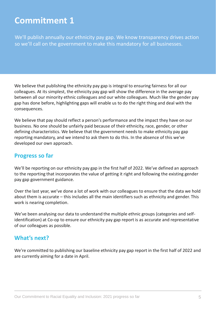We'll publish annually our ethnicity pay gap. We know transparency drives action so we'll call on the government to make this mandatory for all businesses.

We believe that publishing the ethnicity pay gap is integral to ensuring fairness for all our colleagues. At its simplest, the ethnicity pay gap will show the difference in the average pay between all our minority ethnic colleagues and our white colleagues. Much like the gender pay gap has done before, highlighting gaps will enable us to do the right thing and deal with the consequences.

We believe that pay should reflect a person's performance and the impact they have on our business. No one should be unfairly paid because of their ethnicity, race, gender, or other defining characteristics. We believe that the government needs to make ethnicity pay gap reporting mandatory, and we intend to ask them to do this. In the absence of this we've developed our own approach.

#### **Progress so far**

We'll be reporting on our ethnicity pay gap in the first half of 2022. We've defined an approach to the reporting that incorporates the value of getting it right and following the existing gender pay gap government guidance.

Over the last year, we've done a lot of work with our colleagues to ensure that the data we hold about them is accurate – this includes all the main identifiers such as ethnicity and gender. This work is nearing completion.

We've been analysing our data to understand the multiple ethnic groups (categories and selfidentification) at Co-op to ensure our ethnicity pay gap report is as accurate and representative of our colleagues as possible.

#### **What's next?**

We're committed to publishing our baseline ethnicity pay gap report in the first half of 2022 and are currently aiming for a date in April.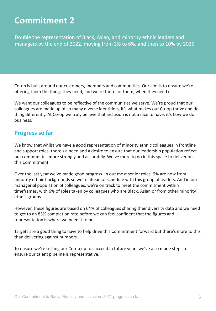Double the representation of Black, Asian, and minority ethnic leaders and managers by the end of 2022, moving from 3% to 6%, and then to 10% by 2025.

Co-op is built around our customers, members and communities. Our aim is to ensure we're offering them the things they need, and we're there for them, when they need us.

We want our colleagues to be reflective of the communities we serve. We're proud that our colleagues are made up of so many diverse identifiers, it's what makes our Co-op thrive and do thing differently. At Co-op we truly believe that inclusion is not a nice to have, it's how we do business.

#### **Progress so far**

We know that whilst we have a good representation of minority ethnic colleagues in frontline and support roles, there's a need and a desire to ensure that our leadership population reflect our communities more strongly and accurately. We've more to do in this space to deliver on this Commitment.

Over the last year we've made good progress. In our most senior roles, 9% are now from minority ethnic backgrounds so we're ahead of schedule with this group of leaders. And in our managerial population of colleagues, we're on track to meet the commitment within timeframes, with 6% of roles taken by colleagues who are Black, Asian or from other minority ethnic groups.

However, these figures are based on 64% of colleagues sharing their diversity data and we need to get to an 85% completion rate before we can feel confident that the figures and representation is where we need it to be.

Targets are a good thing to have to help drive this Commitment forward but there's more to this than delivering against numbers.

To ensure we're setting our Co-op up to succeed in future years we've also made steps to ensure our talent pipeline is representative.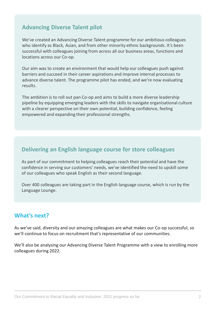### **Advancing Diverse Talent pilot**

We've created an Advancing Diverse Talent programme for our ambitious colleagues who identify as Black, Asian, and from other minority ethnic backgrounds. It's been successful with colleagues joining from across all our business areas, functions and locations across our Co-op.

Our aim was to create an environment that would help our colleagues push against barriers and succeed in their career aspirations and improve internal processes to advance diverse talent. The programme pilot has ended, and we're now evaluating results.

The ambition is to roll out pan Co-op and aims to build a more diverse leadership pipeline by equipping emerging leaders with the skills to navigate organisational culture with a clearer perspective on their own potential, building confidence, feeling empowered and expanding their professional strengths.

#### **Delivering an English language course for store colleagues**

As part of our commitment to helping colleagues reach their potential and have the confidence in serving our customers' needs, we've identified the need to upskill some of our colleagues who speak English as their second language.

Over 400 colleagues are taking part in the English language course, which is run by the Language Lounge.

#### **What's next?**

As we've said, diversity and our amazing colleagues are what makes our Co-op successful, so we'll continue to focus on recruitment that's representative of our communities.

We'll also be analysing our Advancing Diverse Talent Programme with a view to enrolling more colleagues during 2022.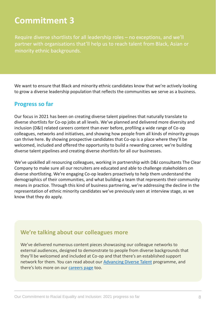Require diverse shortlists for all leadership roles – no exceptions, and we'll partner with organisations that'll help us to reach talent from Black, Asian or minority ethnic backgrounds.

We want to ensure that Black and minority ethnic candidates know that we're actively looking to grow a diverse leadership population that reflects the communities we serve as a business.

#### **Progress so far**

Our focus in 2021 has been on creating diverse talent pipelines that naturally translate to diverse shortlists for Co-op jobs at all levels. We've planned and delivered more diversity and inclusion (D&I) related careers content than ever before, profiling a wide range of Co-op colleagues, networks and initiatives, and showing how people from all kinds of minority groups can thrive here. By showing prospective candidates that Co-op is a place where they'll be welcomed, included and offered the opportunity to build a rewarding career, we're building diverse talent pipelines and creating diverse shortlists for all our businesses.

We've upskilled all resourcing colleagues, working in partnership with D&I consultants The Clear Company to make sure all our recruiters are educated and able to challenge stakeholders on diverse shortlisting. We're engaging Co-op leaders proactively to help them understand the demographics of their communities, and what building a team that represents their community means in practice. Through this kind of business partnering, we're addressing the decline in the representation of ethnic minority candidates we've previously seen at interview stage, as we know that they do apply.

#### **We're talking about our colleagues more**

We've delivered numerous content pieces showcasing our colleague networks to external audiences, designed to demonstrate to people from diverse backgrounds that they'll be welcomed and included at Co-op and that there's an established support network for them. You can read about our [Advancing Diverse Talent](https://jobs.coop.co.uk/AdvancingDiverseTalent) programme, and there's lots more on our [careers page](http://www.jobs.coop.co.uk/) too.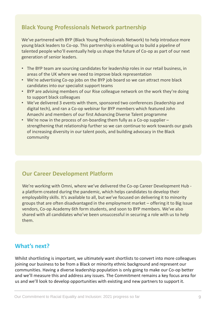### **Black Young Professionals Network partnership**

We've partnered with BYP (Black Young Professionals Network) to help introduce more young black leaders to Co-op. This partnership is enabling us to build a pipeline of talented people who'll eventually help us shape the future of Co-op as part of our next generation of senior leaders.

- The BYP team are sourcing candidates for leadership roles in our retail business, in areas of the UK where we need to improve black representation
- We're advertising Co-op jobs on the BYP job board so we can attract more black candidates into our specialist support teams
- BYP are advising members of our Rise colleague network on the work they're doing to support black colleagues
- We've delivered 3 events with them, sponsored two conferences (leadership and digital tech), and ran a Co-op webinar for BYP members which featured John Amaechi and members of our first Advancing Diverse Talent programme
- We're now in the process of on-boarding them fully as a Co-op supplier strengthening that relationship further so we can continue to work towards our goals of increasing diversity in our talent pools, and building advocacy in the Black community

#### **Our Career Development Platform**

We're working with Omni, where we've delivered the Co-op Career Development Hub a platform created during the pandemic, which helps candidates to develop their employability skills. It's available to all, but we've focused on delivering it to minority groups that are often disadvantaged in the employment market – offering it to Big Issue vendors, Co-op Academy 6th form students, and soon to BYP members. We've also shared with all candidates who've been unsuccessful in securing a role with us to help them.

### **What's next?**

Whilst shortlisting is important, we ultimately want shortlists to convert into more colleagues joining our business to be from a Black or minority ethnic background and represent our communities. Having a diverse leadership population is only going to make our Co-op better and we'll measure this and address any issues. The Commitment remains a key focus area for us and we'll look to develop opportunities with existing and new partners to support it.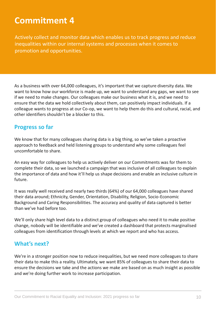Actively collect and monitor data which enables us to track progress and reduce inequalities within our internal systems and processes when it comes to promotion and opportunities.

As a business with over 64,000 colleagues, it's important that we capture diversity data. We want to know how our workforce is made up, we want to understand any gaps, we want to see if we need to make changes. Our colleagues make our business what it is, and we need to ensure that the data we hold collectively about them, can positively impact individuals. If a colleague wants to progress at our Co-op, we want to help them do this and cultural, racial, and other identifiers shouldn't be a blocker to this.

#### **Progress so far**

We know that for many colleagues sharing data is a big thing, so we've taken a proactive approach to feedback and held listening groups to understand why some colleagues feel uncomfortable to share.

An easy way for colleagues to help us actively deliver on our Commitments was for them to complete their data, so we launched a campaign that was inclusive of all colleagues to explain the importance of data and how it'll help us shape decisions and enable an inclusive culture in future.

It was really well received and nearly two thirds (64%) of our 64,000 colleagues have shared their data around; Ethnicity, Gender, Orientation, Disability, Religion, Socio-Economic Background and Caring Responsibilities. The accuracy and quality of data captured is better than we've had before too.

We'll only share high level data to a distinct group of colleagues who need it to make positive change, nobody will be identifiable and we've created a dashboard that protects marginalised colleagues from identification through levels at which we report and who has access.

#### **What's next?**

We're in a stronger position now to reduce inequalities, but we need more colleagues to share their data to make this a reality. Ultimately, we want 85% of colleagues to share their data to ensure the decisions we take and the actions we make are based on as much insight as possible and we're doing further work to increase participation.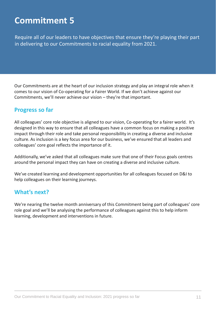Require all of our leaders to have objectives that ensure they're playing their part in delivering to our Commitments to racial equality from 2021.

Our Commitments are at the heart of our inclusion strategy and play an integral role when it comes to our vision of Co-operating for a Fairer World. If we don't achieve against our Commitments, we'll never achieve our vision – they're that important.

#### **Progress so far**

All colleagues' core role objective is aligned to our vision, Co-operating for a fairer world. It's designed in this way to ensure that all colleagues have a common focus on making a positive impact through their role and take personal responsibility in creating a diverse and inclusive culture. As inclusion is a key focus area for our business, we've ensured that all leaders and colleagues' core goal reflects the importance of it.

Additionally, we've asked that all colleagues make sure that one of their Focus goals centres around the personal impact they can have on creating a diverse and inclusive culture.

We've created learning and development opportunities for all colleagues focused on D&I to help colleagues on their learning journeys.

#### **What's next?**

We're nearing the twelve month anniversary of this Commitment being part of colleagues' core role goal and we'll be analysing the performance of colleagues against this to help inform learning, development and interventions in future.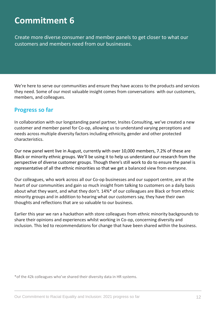Create more diverse consumer and member panels to get closer to what our customers and members need from our businesses.

We're here to serve our communities and ensure they have access to the products and services they need. Some of our most valuable insight comes from conversations with our customers, members, and colleagues.

#### **Progress so far**

In collaboration with our longstanding panel partner, Insites Consulting, we've created a new customer and member panel for Co-op, allowing us to understand varying perceptions and needs across multiple diversity factors including ethnicity, gender and other protected characteristics.

Our new panel went live in August, currently with over 10,000 members, 7.2% of these are Black or minority ethnic groups. We'll be using it to help us understand our research from the perspective of diverse customer groups. Though there's still work to do to ensure the panel is representative of all the ethnic minorities so that we get a balanced view from everyone.

Our colleagues, who work across all our Co-op businesses and our support centre, are at the heart of our communities and gain so much insight from talking to customers on a daily basis about what they want, and what they don't. 14%\* of our colleagues are Black or from ethnic minority groups and in addition to hearing what our customers say, they have their own thoughts and reflections that are so valuable to our business.

Earlier this year we ran a hackathon with store colleagues from ethnic minority backgrounds to share their opinions and experiences whilst working in Co-op, concerning diversity and inclusion. This led to recommendations for change that have been shared within the business.

\*of the 42k colleagues who've shared their diversity data in HR systems.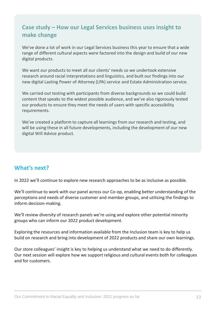### **Case study – How our Legal Services business uses insight to make change**

We've done a lot of work in our Legal Services business this year to ensure that a wide range of different cultural aspects were factored into the design and build of our new digital products.

We want our products to meet all our clients' needs so we undertook extensive research around racial interpretations and linguistics, and built our findings into our new digital Lasting Power of Attorney (LPA) service and Estate Administration service.

We carried out testing with participants from diverse backgrounds so we could build content that speaks to the widest possible audience, and we've also rigorously tested our products to ensure they meet the needs of users with specific accessibility requirements.

We've created a platform to capture all learnings from our research and testing, and will be using these in all future developments, including the development of our new digital Will Advice product.

### **What's next?**

In 2022 we'll continue to explore new research approaches to be as inclusive as possible.

We'll continue to work with our panel across our Co-op, enabling better understanding of the perceptions and needs of diverse customer and member groups, and utilising the findings to inform decision-making.

We'll review diversity of research panels we're using and explore other potential minority groups who can inform our 2022 product development.

Exploring the resources and information available from the Inclusion team is key to help us build on research and bring into development of 2022 products and share our own learnings.

Our store colleagues' insight is key to helping us understand what we need to do differently. Our next session will explore how we support religious and cultural events both for colleagues and for customers.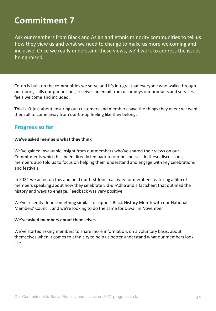Ask our members from Black and Asian and ethnic minority communities to tell us how they view us and what we need to change to make us more welcoming and inclusive. Once we really understand these views, we'll work to address the issues being raised.

Co-op is built on the communities we serve and it's integral that everyone who walks through our doors, calls our phone lines, receives an email from us or buys our products and services feels welcome and included.

This isn't just about ensuring our customers and members have the things they need; we want them all to come away from our Co-op feeling like they belong.

#### **Progress so far**

#### **We've asked members what they think**

We've gained invaluable insight from our members who've shared their views on our Commitments which has been directly fed back to our businesses. In these discussions, members also told us to focus on helping them understand and engage with key celebrations and festivals.

In 2021 we acted on this and held our first Join In activity for members featuring a film of members speaking about how they celebrate Eid-ul-Adha and a factsheet that outlined the history and ways to engage. Feedback was very positive.

We've recently done something similar to support Black History Month with our National Members' Council, and we're looking to do the same for Diwali in November.

#### **We've asked members about themselves**

We've started asking members to share more information, on a voluntary basis, about themselves when it comes to ethnicity to help us better understand what our members look like.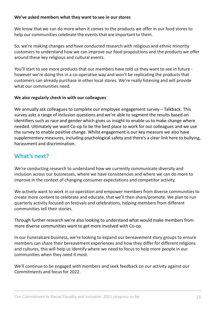#### **We've asked members what they want to see in our stores**

We know that we can do more when it comes to the products we offer in our food stores to help our communities celebrate the events that are important to them.

So, we're making changes and have conducted research with religious and ethnic minority customers to understand how we can improve our food propositions and the products we offer around these key religious and cultural events.

You'll start to see more products that our members have told us they want to see in future however we're doing this in a co-operative way and won't be replicating the products that customers can already purchase in other local stores. We're really listening and will provide what our communities need.

#### **We also regularly check in with our colleagues**

We annually ask colleagues to complete our employee engagement survey – Talkback. This survey asks a range of inclusion questions and we're able to segment the results based on identifiers such as race and gender which gives us insight to enable us to make change where needed. Ultimately we want Co-op to be the best place to work for our colleagues and we use the survey to enable positive change. Whilst engagement is our key measure we also have supplementary measures, including psychological safety and there's a clear link here to bullying, harassment and discrimination.

### **What's next?**

We're conducting research to understand how we currently communicate diversity and inclusion across our businesses, where we have consistencies and where we can do more to improve in the context of changing consumer expectations and competitor activity.

We actively want to work in co-operation and empower members from diverse communities to create more content to celebrate and educate, that we'll then share/promote. We plan to run quarterly activity focused on festivals and celebrations, helping members from different communities tell their stories.

Through further research we're also looking to understand what would make members from more diverse communities want to get more involved with Co-op.

In our Funeralcare business, we're looking to expand our bereavement story groups to ensure members can share their bereavement experiences and how they differ for different religions and cultures, this will help us identify where we need to focus to help more people in our communities when they need it most.

We'll continue to be engaged with members and seek feedback on our activity against our Commitments and focus for 2022.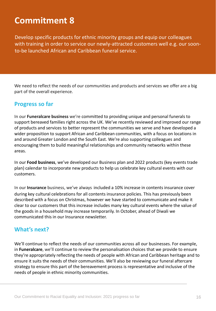Develop specific products for ethnic minority groups and equip our colleagues with training in order to service our newly-attracted customers well e.g. our soonto-be launched African and Caribbean funeral service.

We need to reflect the needs of our communities and products and services we offer are a big part of the overall experience.

#### **Progress so far**

In our **Funeralcare business** we're committed to providing unique and personal funerals to support bereaved families right across the UK. We've recently reviewed and improved our range of products and services to better represent the communities we serve and have developed a wider proposition to support African and Caribbean communities, with a focus on locations in and around Greater London and the South East. We're also supporting colleagues and encouraging them to build meaningful relationships and community networks within these areas.

In our **Food business**, we've developed our Business plan and 2022 products (key events trade plan) calendar to incorporate new products to help us celebrate key cultural events with our customers.

In our **Insurance** business, we've always included a 10% increase in contents insurance cover during key cultural celebrations for all contents insurance policies. This has previously been described with a focus on Christmas, however we have started to communicate and make it clear to our customers that this increase includes many key cultural events where the value of the goods in a household may increase temporarily. In October, ahead of Diwali we communicated this in our Insurance newsletter.

#### **What's next?**

We'll continue to reflect the needs of our communities across all our businesses. For example, in **Funeralcare**, we'll continue to review the personalisation choices that we provide to ensure they're appropriately reflecting the needs of people with African and Caribbean heritage and to ensure it suits the needs of their communities. We'll also be reviewing our funeral aftercare strategy to ensure this part of the bereavement process is representative and inclusive of the needs of people in ethnic minority communities.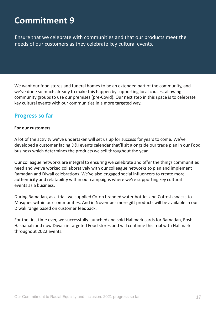Ensure that we celebrate with communities and that our products meet the needs of our customers as they celebrate key cultural events.

We want our food stores and funeral homes to be an extended part of the community, and we've done so much already to make this happen by supporting local causes, allowing community groups to use our premises (pre-Covid). Our next step in this space is to celebrate key cultural events with our communities in a more targeted way.

#### **Progress so far**

#### **For our customers**

A lot of the activity we've undertaken will set us up for success for years to come. We've developed a customer facing D&I events calendar that'll sit alongside our trade plan in our Food business which determines the products we sell throughout the year.

Our colleague networks are integral to ensuring we celebrate and offer the things communities need and we've worked collaboratively with our colleague networks to plan and implement Ramadan and Diwali celebrations. We've also engaged social influencers to create more authenticity and relatability within our campaigns where we're supporting key cultural events as a business.

During Ramadan, as a trial, we supplied Co-op branded water bottles and Cofresh snacks to Mosques within our communities. And in November more gift products will be available in our Diwali range based on customer feedback.

For the first time ever, we successfully launched and sold Hallmark cards for Ramadan, Rosh Hashanah and now Diwali in targeted Food stores and will continue this trial with Hallmark throughout 2022 events.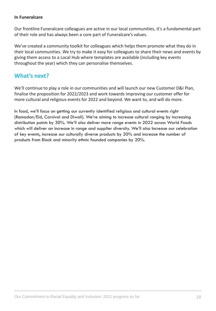#### **In Funeralcare**

Our frontline Funeralcare colleagues are active in our local communities, it's a fundamental part of their role and has always been a core part of Funeralcare's values.

We've created a community toolkit for colleagues which helps them promote what they do in their local communities. We try to make it easy for colleagues to share their news and events by giving them access to a Local Hub where templates are available (including key events throughout the year) which they can personalise themselves.

#### **What's next?**

We'll continue to play a role in our communities and will launch our new Customer D&I Plan, finalise the proposition for 2022/2023 and work towards improving our customer offer for more cultural and religious events for 2022 and beyond. We want to, and will do more.

In food, we'll focus on getting our currently identified religious and cultural events right (Ramadan/Eid, Carnival and Diwali). We're aiming to increase cultural ranging by increasing distribution points by 30%. We'll also deliver more range events in 2022 across World Foods which will deliver an increase in range and supplier diversity. We'll also Increase our celebration of key events, increase our culturally diverse products by 20% and increase the number of products from Black and minority ethnic founded companies by 20%.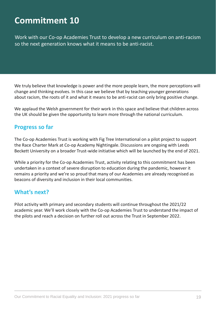Work with our Co-op Academies Trust to develop a new curriculum on anti-racism so the next generation knows what it means to be anti-racist.

We truly believe that knowledge is power and the more people learn, the more perceptions will change and thinking evolves. In this case we believe that by teaching younger generations about racism, the roots of it and what it means to be anti-racist can only bring positive change.

We applaud the Welsh government for their work in this space and believe that children across the UK should be given the opportunity to learn more through the national curriculum.

#### **Progress so far**

The Co-op Academies Trust is working with Fig Tree International on a pilot project to support the Race Charter Mark at Co-op Academy Nightingale. Discussions are ongoing with Leeds Beckett University on a broader Trust-wide initiative which will be launched by the end of 2021.

While a priority for the Co-op Academies Trust, activity relating to this commitment has been undertaken in a context of severe disruption to education during the pandemic, however it remains a priority and we're so proud that many of our Academies are already recognised as beacons of diversity and inclusion in their local communities.

#### **What's next?**

Pilot activity with primary and secondary students will continue throughout the 2021/22 academic year. We'll work closely with the Co-op Academies Trust to understand the impact of the pilots and reach a decision on further roll out across the Trust in September 2022.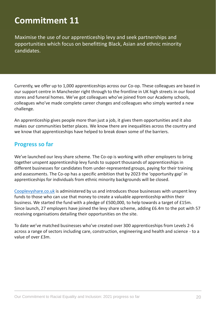Maximise the use of our apprenticeship levy and seek partnerships and opportunities which focus on benefitting Black, Asian and ethnic minority candidates.

Currently, we offer up to 1,000 apprenticeships across our Co-op. These colleagues are based in our support centre in Manchester right through to the frontline in UK high streets in our food stores and funeral homes. We've got colleagues who've joined from our Academy schools, colleagues who've made complete career changes and colleagues who simply wanted a new challenge.

An apprenticeship gives people more than just a job, it gives them opportunities and it also makes our communities better places. We know there are inequalities across the country and we know that apprenticeships have helped to break down some of the barriers.

#### **Progress so far**

We've launched our levy share scheme. The Co-op is working with other employers to bring together unspent apprenticeship levy funds to support thousands of apprenticeships in different businesses for candidates from under-represented groups, paying for their training and assessments. The Co-op has a specific ambition that by 2023 the 'opportunity gap' in apprenticeships for individuals from ethnic minority backgrounds will be closed.

[Cooplevyshare.co.uk](https://cooplevyshare.co.uk/) is administered by us and introduces those businesses with unspent levy funds to those who can use that money to create a valuable apprenticeship within their business. We started the fund with a pledge of £500,000, to help towards a target of £15m. Since launch, 27 employers have joined the levy share scheme, adding £6.4m to the pot with 57 receiving organisations detailing their opportunities on the site.

To date we've matched businesses who've created over 300 apprenticeships from Levels 2-6 across a range of sectors including care, construction, engineering and health and science - to a value of over £3m.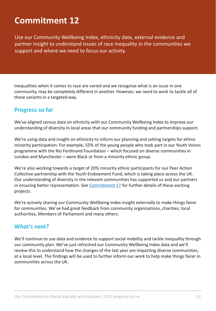Use our Community Wellbeing Index, ethnicity data, external evidence and partner insight to understand issues of race inequality in the communities we support and where we need to focus our activity.

Inequalities when it comes to race are varied and we recognise what is an issue in one community, may be completely different in another. However, we need to work to tackle all of these variants in a targeted way.

#### **Progress so far**

We've aligned census data on ethnicity with our Community Wellbeing Index to improve our understanding of diversity in local areas that our community funding and partnerships support.

We're using data and insight on ethnicity to inform our planning and setting targets for ethnic minority participation. For example, 55% of the young people who took part in our Youth Voices programme with the Rio Ferdinand Foundation – which focused on diverse communities in London and Manchester – were Black or from a minority ethnic group.

We're also working towards a target of 20% minority ethnic participants for our Peer Action Collective partnership with the Youth Endowment Fund, which is taking place across the UK. Our understanding of diversity in the relevant communities has supported us and our partners in ensuring better representation. See [Commitment 17](#page-27-0) for further details of these exciting projects.

We're actively sharing our Community Wellbeing Index insight externally to make things fairer for communities. We've had great feedback from community organisations, charities, local authorities, Members of Parliament and many others.

#### **What's next?**

We'll continue to use data and evidence to support social mobility and tackle inequality through our community plan. We've just refreshed our Community Wellbeing Index data and we'll review this to understand how the changes of the last year are impacting diverse communities, at a local level. The findings will be used to further inform our work to help make things fairer in communities across the UK.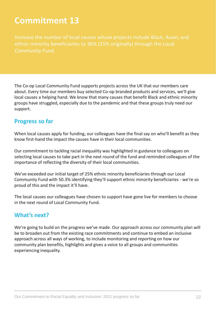Community Fund.

The Co-op Local Community Fund supports projects across the UK that our members care about. Every time our members buy selected Co-op branded products and services, we'll give local causes a helping hand. We know that many causes that benefit Black and ethnic minority groups have struggled, especially due to the pandemic and that these groups truly need our support.

#### **Progress so far**

When local causes apply for funding, our colleagues have the final say on who'll benefit as they know first-hand the impact the causes have in their local communities.

Our commitment to tackling racial inequality was highlighted in guidance to colleagues on selecting local causes to take part in the next round of the fund and reminded colleagues of the importance of reflecting the diversity of their local communities.

We've exceeded our initial target of 25% ethnic minority beneficiaries through our Local Community Fund with 50.3% identifying they'll support ethnic minority beneficiaries - we're so proud of this and the impact it'll have.

The local causes our colleagues have chosen to support have gone live for members to choose in the next round of Local Community Fund.

### **What's next?**

We're going to build on the progress we've made. Our approach across our community plan will be to broaden out from the existing race commitments and continue to embed an inclusive approach across all ways of working, to include monitoring and reporting on how our community plan benefits, highlights and gives a voice to all groups and communities experiencing inequality.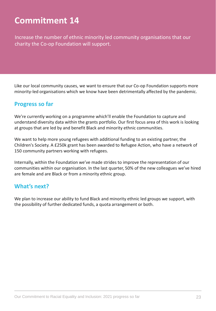Increase the number of ethnic minority led community organisations that our charity the Co-op Foundation will support.

Like our local community causes, we want to ensure that our Co-op Foundation supports more minority-led organisations which we know have been detrimentally affected by the pandemic.

#### **Progress so far**

We're currently working on a programme which'll enable the Foundation to capture and understand diversity data within the grants portfolio. Our first focus area of this work is looking at groups that are led by and benefit Black and minority ethnic communities.

We want to help more young refugees with additional funding to an existing partner, the Children's Society. A £250k grant has been awarded to Refugee Action, who have a network of 150 community partners working with refugees.

Internally, within the Foundation we've made strides to improve the representation of our communities within our organisation. In the last quarter, 50% of the new colleagues we've hired are female and are Black or from a minority ethnic group.

### **What's next?**

We plan to increase our ability to fund Black and minority ethnic led groups we support, with the possibility of further dedicated funds, a quota arrangement or both.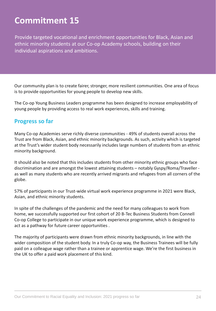Provide targeted vocational and enrichment opportunities for Black, Asian and ethnic minority students at our Co-op Academy schools, building on their individual aspirations and ambitions.

Our community plan is to create fairer, stronger, more resilient communities. One area of focus is to provide opportunities for young people to develop new skills.

The Co-op Young Business Leaders programme has been designed to increase employability of young people by providing access to real work experiences, skills and training.

#### **Progress so far**

Many Co-op Academies serve richly diverse communities - 49% of students overall across the Trust are from Black, Asian, and ethnic minority backgrounds. As such, activity which is targeted at the Trust's wider student body necessarily includes large numbers of students from an ethnic minority background.

It should also be noted that this includes students from other minority ethnic groups who face discrimination and are amongst the lowest attaining students – notably Gyspy/Roma/Traveller as well as many students who are recently arrived migrants and refugees from all corners of the globe.

57% of participants in our Trust-wide virtual work experience programme in 2021 were Black, Asian, and ethnic minority students.

In spite of the challenges of the pandemic and the need for many colleagues to work from home, we successfully supported our first cohort of 20 B-Tec Business Students from Connell Co-op College to participate in our unique work experience programme, which is designed to act as a pathway for future career opportunities .

The majority of participants were drawn from ethnic minority backgrounds, in line with the wider composition of the student body. In a truly Co-op way, the Business Trainees will be fully paid on a colleague wage rather than a trainee or apprentice wage. We're the first business in the UK to offer a paid work placement of this kind.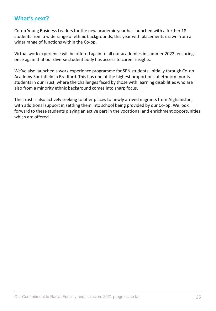#### **What's next?**

Co-op Young Business Leaders for the new academic year has launched with a further 18 students from a wide range of ethnic backgrounds, this year with placements drawn from a wider range of functions within the Co-op.

Virtual work experience will be offered again to all our academies in summer 2022, ensuring once again that our diverse student body has access to career insights.

We've also launched a work experience programme for SEN students, initially through Co-op Academy Southfield in Bradford. This has one of the highest proportions of ethnic minority students in our Trust, where the challenges faced by those with learning disabilities who are also from a minority ethnic background comes into sharp focus.

The Trust is also actively seeking to offer places to newly arrived migrants from Afghanistan, with additional support in settling them into school being provided by our Co-op. We look forward to these students playing an active part in the vocational and enrichment opportunities which are offered.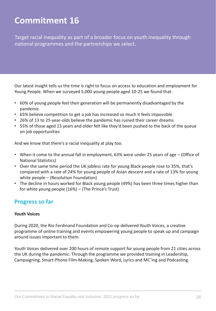Target racial inequality as part of a broader focus on youth inequality through national programmes and the partnerships we select.

Our latest insight tells us the time is right to focus on access to education and employment for Young People. When we surveyed 5,000 young people aged 10-25 we found that:

- 60% of young people feel their generation will be permanently disadvantaged by the pandemic
- 65% believe competition to get a job has increased so much it feels impossible
- 26% of 13 to 25-year-olds believe the pandemic has ruined their career dreams
- 55% of those aged 13 years and older felt like they'd been pushed to the back of the queue on job opportunities

And we know that there's a racial inequality at play too.

- When it come to the annual fall in employment, 63% were under 25 years of age (Office of National Statistics)
- Over the same time period the UK jobless rate for young Black people rose to 35%, that's compared with a rate of 24% for young people of Asian descent and a rate of 13% for young white people – (Resolution Foundation)
- The decline in hours worked for Black young people (49%) has been three times higher than for white young people (16%) – (The Prince's Trust)

### **Progress so far**

#### **Youth Voices**

During 2020, the Rio Ferdinand Foundation and Co-op delivered Youth Voices, a creative programme of online training and events empowering young people to speak up and campaign around issues important to them.

Youth Voices delivered over 200 hours of remote support for young people from 21 cities across the UK during the pandemic. Through the programme we provided training in Leadership, Campaigning, Smart-Phone Film-Making, Spoken Word, Lyrics and MC'ing and Podcasting.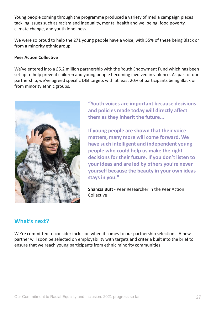Young people coming through the programme produced a variety of media campaign pieces tackling issues such as racism and inequality, mental health and wellbeing, food poverty, climate change, and youth loneliness.

We were so proud to help the 271 young people have a voice, with 55% of these being Black or from a minority ethnic group.

#### **Peer Action Collective**

We've entered into a £5.2 million partnership with the Youth Endowment Fund which has been set up to help prevent children and young people becoming involved in violence. As part of our partnership, we've agreed specific D&I targets with at least 20% of participants being Black or from minority ethnic groups.



**"Youth voices are important because decisions and policies made today will directly affect them as they inherit the future...** 

**If young people are shown that their voice matters, many more will come forward. We have such intelligent and independent young people who could help us make the right decisions for their future. If you don't listen to your ideas and are led by others you're never yourself because the beauty in your own ideas stays in you."**

**Shamza Butt** - Peer Researcher in the Peer Action Collective

### **What's next?**

We're committed to consider inclusion when it comes to our partnership selections. A new partner will soon be selected on employability with targets and criteria built into the brief to ensure that we reach young participants from ethnic minority communities.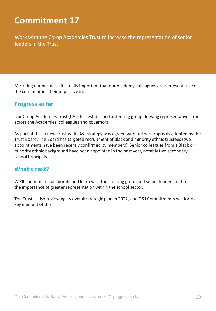<span id="page-27-0"></span>Work with the Co-op Academies Trust to increase the representation of senior leaders in the Trust.

Mirroring our business, it's really important that our Academy colleagues are representative of the communities their pupils live in.

#### **Progress so far**

Our Co-op Academies Trust (CAT) has established a steering group drawing representatives from across the Academies' colleagues and governors.

As part of this, a new Trust-wide D&I strategy was agreed with further proposals adopted by the Trust Board. The Board has targeted recruitment of Black and minority ethnic trustees (two appointments have been recently confirmed by members). Senior colleagues from a Black or minority ethnic background have been appointed in the past year, notably two secondary school Principals.

#### **What's next?**

We'll continue to collaborate and learn with the steering group and senior leaders to discuss the importance of greater representation within the school sector.

The Trust is also reviewing its overall strategic plan in 2022, and D&I Commitments will form a key element of this.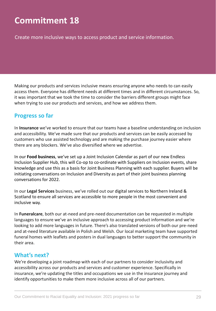Create more inclusive ways to access product and service information.

Making our products and services inclusive means ensuring anyone who needs to can easily access them. Everyone has different needs at different times and in different circumstances. So, it was important that we took the time to consider the barriers different groups might face when trying to use our products and services, and how we address them.

#### **Progress so far**

In **Insurance** we've worked to ensure that our teams have a baseline understanding on inclusion and accessibility. We've made sure that our products and services can be easily accessed by customers who use assisted technology and are making the purchase journey easier where there are any blockers. We've also diversified where we advertise.

In our **Food business**, we've set up a Joint Inclusion Calendar as part of our new Endless Inclusion Supplier Hub, this will Co-op to co-ordinate with Suppliers on Inclusion events, share knowledge and use this as a basis for Joint Business Planning with each supplier. Buyers will be initiating conversations on Inclusion and Diversity as part of their joint business planning conversations for 2022.

In our **Legal Services** business, we've rolled out our digital services to Northern Ireland & Scotland to ensure all services are accessible to more people in the most convenient and inclusive way.

In **Funeralcare**, both our at-need and pre-need documentation can be requested in multiple languages to ensure we've an inclusive approach to accessing product information and we're looking to add more languages in future. There's also translated versions of both our pre-need and at-need literature available in Polish and Welsh. Our local marketing team have supported funeral homes with leaflets and posters in dual languages to better support the community in their area.

#### **What's next?**

We're developing a joint roadmap with each of our partners to consider inclusivity and accessibility across our products and services and customer experience. Specifically in insurance, we're updating the titles and occupations we use in the insurance journey and identify opportunities to make them more inclusive across all of our partners.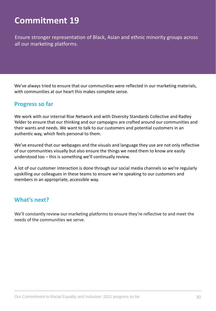Ensure stronger representation of Black, Asian and ethnic minority groups across all our marketing platforms.

We've always tried to ensure that our communities were reflected in our marketing materials, with communities at our heart this makes complete sense.

#### **Progress so far**

We work with our internal Rise Network and with Diversity Standards Collective and Radley Yelder to ensure that our thinking and our campaigns are crafted around our communities and their wants and needs. We want to talk to our customers and potential customers in an authentic way, which feels personal to them.

We've ensured that our webpages and the visuals and language they use are not only reflective of our communities visually but also ensure the things we need them to know are easily understood too – this is something we'll continually review.

A lot of our customer interaction is done through our social media channels so we're regularly upskilling our colleagues in these teams to ensure we're speaking to our customers and members in an appropriate, accessible way.

#### **What's next?**

We'll constantly review our marketing platforms to ensure they're reflective to and meet the needs of the communities we serve.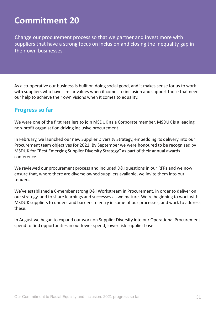Change our procurement process so that we partner and invest more with suppliers that have a strong focus on inclusion and closing the inequality gap in their own businesses.

As a co-operative our business is built on doing social good, and it makes sense for us to work with suppliers who have similar values when it comes to inclusion and support those that need our help to achieve their own visions when it comes to equality.

#### **Progress so far**

We were one of the first retailers to join MSDUK as a Corporate member. MSDUK is a leading non-profit organisation driving inclusive procurement.

In February, we launched our new Supplier Diversity Strategy, embedding its delivery into our Procurement team objectives for 2021. By September we were honoured to be recognised by MSDUK for "Best Emerging Supplier Diversity Strategy" as part of their annual awards conference.

We reviewed our procurement process and included D&I questions in our RFPs and we now ensure that, where there are diverse owned suppliers available, we invite them into our tenders.

We've established a 6-member strong D&I Workstream in Procurement, in order to deliver on our strategy, and to share learnings and successes as we mature. We're beginning to work with MSDUK suppliers to understand barriers to entry in some of our processes, and work to address these.

In August we began to expand our work on Supplier Diversity into our Operational Procurement spend to find opportunities in our lower spend, lower risk supplier base.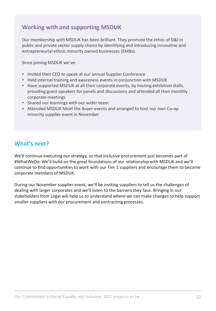### **Working with and supporting MSDUK**

Our membership with MSDUK has been brilliant. They promote the ethos of D&I in public and private sector supply chains by identifying and introducing innovative and entrepreneurial ethnic minority owned businesses (EMBs).

Since joining MSDUK we've:

- Invited their CEO to speak at our annual Supplier Conference
- Held internal training and awareness events in conjunction with MSDUK
- Have supported MSDUK at all their corporate events, by hosting exhibition stalls, providing guest speakers for panels and discussions and attended all their monthly corporate meetings
- Shared our learnings with our wider team
- Attended MSDUK Meet the Buyer events and arranged to host our own Co-op minority supplier event in November

### **What's next?**

We'll continue executing our strategy, so that inclusive procurement just becomes part of #WhatWeDo. We'll build on the great foundations of our relationship with MSDUK and we'll continue to find opportunities to work with our Tier 1 suppliers and encourage them to become corporate members of MSDUK.

During our November supplier event, we'll be inviting suppliers to tell us the challenges of dealing with larger corporates and we'll listen to the barriers they face. Bringing in our stakeholders from Legal will help us to understand where we can make changes to help support smaller suppliers with our procurement and contracting processes.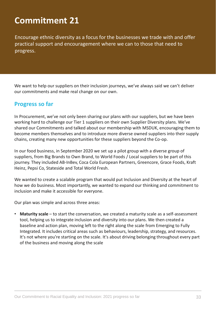Encourage ethnic diversity as a focus for the businesses we trade with and offer practical support and encouragement where we can to those that need to progress.

We want to help our suppliers on their inclusion journeys, we've always said we can't deliver our commitments and make real change on our own.

#### **Progress so far**

In Procurement, we've not only been sharing our plans with our suppliers, but we have been working hard to challenge our Tier 1 suppliers on their own Supplier Diversity plans. We've shared our Commitments and talked about our membership with MSDUK, encouraging them to become members themselves and to introduce more diverse owned suppliers into their supply chains, creating many new opportunities for these suppliers beyond the Co-op.

In our food business, in September 2020 we set up a pilot group with a diverse group of suppliers, from Big Brands to Own Brand, to World Foods / Local suppliers to be part of this journey. They included AB-InBev, Coca Cola European Partners, Greencore, Grace Foods, Kraft Heinz, Pepsi Co, Stateside and Total World Fresh.

We wanted to create a scalable program that would put Inclusion and Diversity at the heart of how we do business. Most importantly, we wanted to expand our thinking and commitment to inclusion and make it accessible for everyone.

Our plan was simple and across three areas:

• **Maturity scale** – to start the conversation, we created a maturity scale as a self-assessment tool, helping us to integrate inclusion and diversity into our plans. We then created a baseline and action plan, moving left to the right along the scale from Emerging to Fully Integrated. It includes critical areas such as behaviours, leadership, strategy, and resources. It's not where you're starting on the scale. It's about driving belonging throughout every part of the business and moving along the scale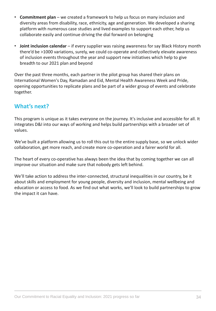- **Commitment plan**  we created a framework to help us focus on many inclusion and diversity areas from disability, race, ethnicity, age and generation. We developed a sharing platform with numerous case studies and lived examples to support each other, help us collaborate easily and continue driving the dial forward on belonging
- **Joint inclusion calendar**  if every supplier was raising awareness for say Black History month there'd be >1000 variations, surely, we could co-operate and collectively elevate awareness of inclusion events throughout the year and support new initiatives which help to give breadth to our 2021 plan and beyond

Over the past three months, each partner in the pilot group has shared their plans on International Women's Day, Ramadan and Eid, Mental Health Awareness Week and Pride, opening opportunities to replicate plans and be part of a wider group of events and celebrate together.

### **What's next?**

This program is unique as it takes everyone on the journey. It's inclusive and accessible for all. It integrates D&I into our ways of working and helps build partnerships with a broader set of values.

We've built a platform allowing us to roll this out to the entire supply base, so we unlock wider collaboration, get more reach, and create more co-operation and a fairer world for all.

The heart of every co-operative has always been the idea that by coming together we can all improve our situation and make sure that nobody gets left behind.

We'll take action to address the inter-connected, structural inequalities in our country, be it about skills and employment for young people, diversity and inclusion, mental wellbeing and education or access to food. As we find out what works, we'll look to build partnerships to grow the impact it can have.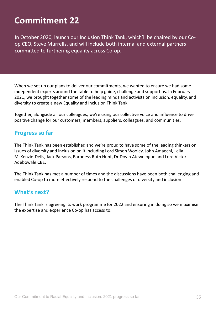In October 2020, launch our Inclusion Think Tank, which'll be chaired by our Coop CEO, Steve Murrells, and will include both internal and external partners committed to furthering equality across Co-op.

When we set up our plans to deliver our commitments, we wanted to ensure we had some independent experts around the table to help guide, challenge and support us. In February 2021, we brought together some of the leading minds and activists on inclusion, equality, and diversity to create a new Equality and Inclusion Think Tank.

Together, alongside all our colleagues, we're using our collective voice and influence to drive positive change for our customers, members, suppliers, colleagues, and communities.

#### **Progress so far**

The Think Tank has been established and we're proud to have some of the leading thinkers on issues of diversity and inclusion on it including Lord Simon Wooley, John Amaechi, Leila McKenzie-Delis, Jack Parsons, Baroness Ruth Hunt, Dr Doyin Atewologun and Lord Victor Adebowale CBE.

The Think Tank has met a number of times and the discussions have been both challenging and enabled Co-op to more effectively respond to the challenges of diversity and inclusion

#### **What's next?**

The Think Tank is agreeing its work programme for 2022 and ensuring in doing so we maximise the expertise and experience Co-op has access to.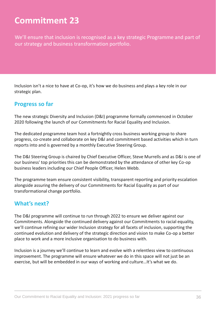We'll ensure that inclusion is recognised as a key strategic Programme and part of our strategy and business transformation portfolio.

Inclusion isn't a nice to have at Co-op, it's how we do business and plays a key role in our strategic plan.

#### **Progress so far**

The new strategic Diversity and Inclusion (D&I) programme formally commenced in October 2020 following the launch of our Commitments for Racial Equality and Inclusion.

The dedicated programme team host a fortnightly cross business working group to share progress, co-create and collaborate on key D&I and commitment based activities which in turn reports into and is governed by a monthly Executive Steering Group.

The D&I Steering Group is chaired by Chief Executive Officer, Steve Murrells and as D&I is one of our business' top priorities this can be demonstrated by the attendance of other key Co-op business leaders including our Chief People Officer, Helen Webb.

The programme team ensure consistent visibility, transparent reporting and priority escalation alongside assuring the delivery of our Commitments for Racial Equality as part of our transformational change portfolio.

#### **What's next?**

The D&I programme will continue to run through 2022 to ensure we deliver against our Commitments. Alongside the continued delivery against our Commitments to racial equality, we'll continue refining our wider Inclusion strategy for all facets of inclusion, supporting the continued evolution and delivery of the strategic direction and vision to make Co-op a better place to work and a more inclusive organisation to do business with.

Inclusion is a journey we'll continue to learn and evolve with a relentless view to continuous improvement. The programme will ensure whatever we do in this space will not just be an exercise, but will be embedded in our ways of working and culture…It's what we do.